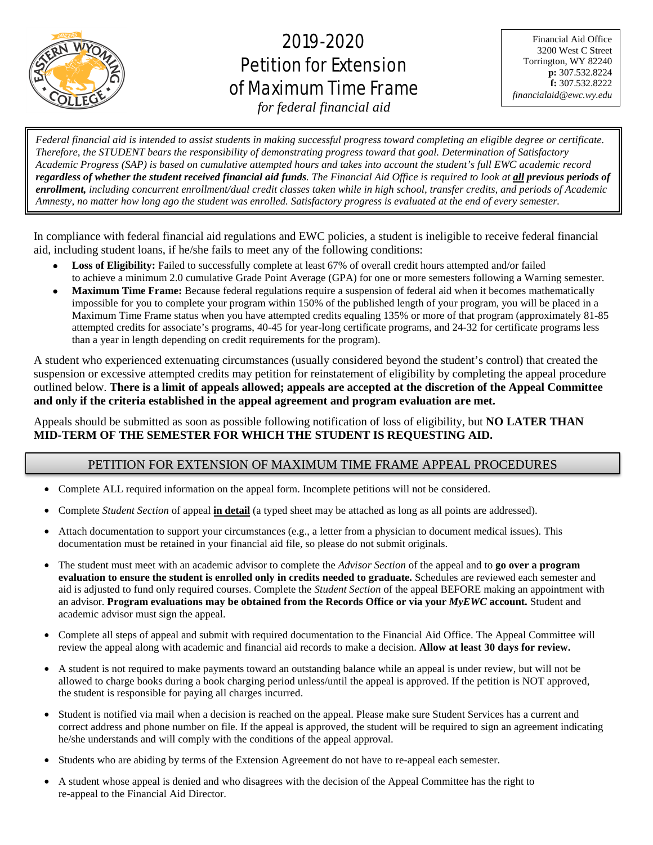

# 2019-2020 Petition for Extension of Maximum Time Frame

Financial Aid Office 3200 West C Street Torrington, WY 82240 **p:** 307.532.8224 **f:** 307.532.8222 *financialaid@ewc.wy.edu*

*for federal financial aid*

j .<br>. *Federal financial aid is intended to assist students in making successful progress toward completing an eligible degree or certificate. Therefore, the STUDENT bears the responsibility of demonstrating progress toward that goal. Determination of Satisfactory Academic Progress (SAP) is based on cumulative attempted hours and takes into account the student's full EWC academic record regardless of whether the student received financial aid funds. The Financial Aid Office is required to look at all previous periods of enrollment, including concurrent enrollment/dual credit classes taken while in high school, transfer credits, and periods of Academic Amnesty, no matter how long ago the student was enrolled. Satisfactory progress is evaluated at the end of every semester.*

In compliance with federal financial aid regulations and EWC policies, a student is ineligible to receive federal financial aid, including student loans, if he/she fails to meet any of the following conditions:

- **Loss of Eligibility:** Failed to successfully complete at least 67% of overall credit hours attempted and/or failed to achieve a minimum 2.0 cumulative Grade Point Average (GPA) for one or more semesters following a Warning semester.
- **Maximum Time Frame:** Because federal regulations require a suspension of federal aid when it becomes mathematically impossible for you to complete your program within 150% of the published length of your program, you will be placed in a Maximum Time Frame status when you have attempted credits equaling 135% or more of that program (approximately 81-85 attempted credits for associate's programs, 40-45 for year-long certificate programs, and 24-32 for certificate programs less than a year in length depending on credit requirements for the program).

A student who experienced extenuating circumstances (usually considered beyond the student's control) that created the suspension or excessive attempted credits may petition for reinstatement of eligibility by completing the appeal procedure outlined below. **There is a limit of appeals allowed; appeals are accepted at the discretion of the Appeal Committee and only if the criteria established in the appeal agreement and program evaluation are met.**

Appeals should be submitted as soon as possible following notification of loss of eligibility, but **NO LATER THAN MID-TERM OF THE SEMESTER FOR WHICH THE STUDENT IS REQUESTING AID.**

## PETITION FOR EXTENSION OF MAXIMUM TIME FRAME APPEAL PROCEDURES

- Complete ALL required information on the appeal form. Incomplete petitions will not be considered.
- Complete *Student Section* of appeal **in detail** (a typed sheet may be attached as long as all points are addressed).
- Attach documentation to support your circumstances (e.g., a letter from a physician to document medical issues). This documentation must be retained in your financial aid file, so please do not submit originals.
- The student must meet with an academic advisor to complete the *Advisor Section* of the appeal and to **go over a program evaluation to ensure the student is enrolled only in credits needed to graduate.** Schedules are reviewed each semester and aid is adjusted to fund only required courses. Complete the *Student Section* of the appeal BEFORE making an appointment with an advisor. **Program evaluations may be obtained from the Records Office or via your** *MyEWC* **account.** Student and academic advisor must sign the appeal.
- Complete all steps of appeal and submit with required documentation to the Financial Aid Office. The Appeal Committee will review the appeal along with academic and financial aid records to make a decision. **Allow at least 30 days for review.**
- A student is not required to make payments toward an outstanding balance while an appeal is under review, but will not be allowed to charge books during a book charging period unless/until the appeal is approved. If the petition is NOT approved, the student is responsible for paying all charges incurred.
- Student is notified via mail when a decision is reached on the appeal. Please make sure Student Services has a current and correct address and phone number on file. If the appeal is approved, the student will be required to sign an agreement indicating he/she understands and will comply with the conditions of the appeal approval.
- Students who are abiding by terms of the Extension Agreement do not have to re-appeal each semester.
- A student whose appeal is denied and who disagrees with the decision of the Appeal Committee has the right to re-appeal to the Financial Aid Director.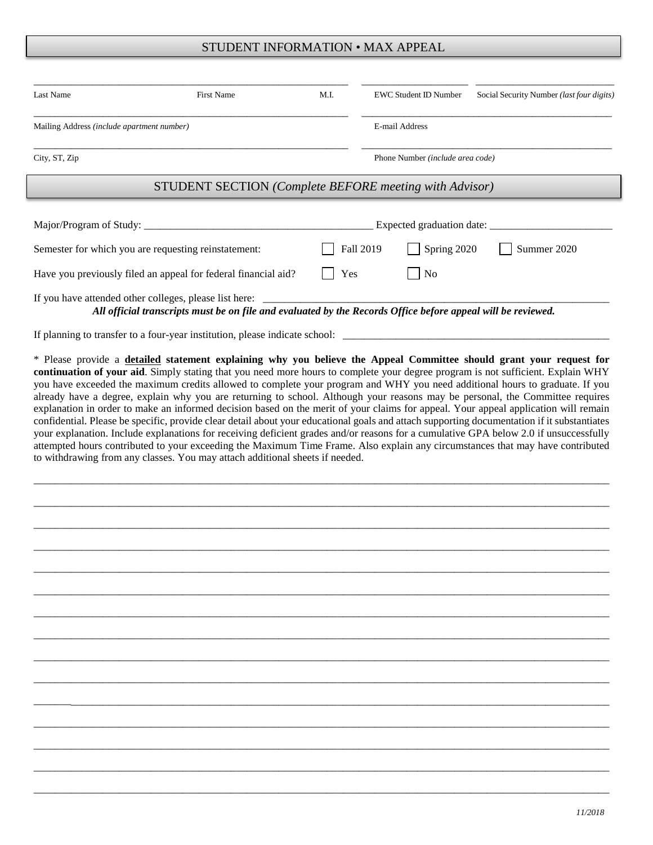#### STUDENT INFORMATION • MAX APPEAL

| Last Name                                                      | <b>First Name</b>                                                                                                                                                                                                                                                                          | M.I.                             |                | <b>EWC Student ID Number</b> | Social Security Number (last four digits) |  |  |  |  |
|----------------------------------------------------------------|--------------------------------------------------------------------------------------------------------------------------------------------------------------------------------------------------------------------------------------------------------------------------------------------|----------------------------------|----------------|------------------------------|-------------------------------------------|--|--|--|--|
| Mailing Address (include apartment number)                     |                                                                                                                                                                                                                                                                                            |                                  | E-mail Address |                              |                                           |  |  |  |  |
| City, ST, Zip                                                  |                                                                                                                                                                                                                                                                                            | Phone Number (include area code) |                |                              |                                           |  |  |  |  |
| <b>STUDENT SECTION</b> (Complete BEFORE meeting with Advisor)  |                                                                                                                                                                                                                                                                                            |                                  |                |                              |                                           |  |  |  |  |
|                                                                |                                                                                                                                                                                                                                                                                            |                                  |                |                              |                                           |  |  |  |  |
| Semester for which you are requesting reinstatement:           |                                                                                                                                                                                                                                                                                            |                                  | Fall 2019      | Spring 2020                  | Summer 2020                               |  |  |  |  |
| Have you previously filed an appeal for federal financial aid? |                                                                                                                                                                                                                                                                                            | Yes                              |                | No                           |                                           |  |  |  |  |
|                                                                | If you have attended other colleges, please list here:<br>All official transcripts must be on file and evaluated by the Records Office before appeal will be reviewed.                                                                                                                     |                                  |                |                              |                                           |  |  |  |  |
|                                                                | If planning to transfer to a four-year institution, please indicate school:                                                                                                                                                                                                                |                                  |                |                              |                                           |  |  |  |  |
|                                                                | * Please provide a <b>detailed</b> statement explaining why you believe the Appeal Committee should grant your request for<br>$\ldots$ . All $\ldots$ . All $\alpha$ and $\ldots$ and $\ldots$ are all $\ldots$ and $\ldots$ are all $\ldots$ are all $\ldots$ . All $\ldots$ and $\ldots$ |                                  |                |                              |                                           |  |  |  |  |

**continuation of your aid**. Simply stating that you need more hours to complete your degree program is not sufficient. Explain WHY you have exceeded the maximum credits allowed to complete your program and WHY you need additional hours to graduate. If you already have a degree, explain why you are returning to school. Although your reasons may be personal, the Committee requires explanation in order to make an informed decision based on the merit of your claims for appeal. Your appeal application will remain confidential. Please be specific, provide clear detail about your educational goals and attach supporting documentation if it substantiates your explanation. Include explanations for receiving deficient grades and/or reasons for a cumulative GPA below 2.0 if unsuccessfully attempted hours contributed to your exceeding the Maximum Time Frame. Also explain any circumstances that may have contributed to withdrawing from any classes. You may attach additional sheets if needed.

\_\_\_\_\_\_\_\_\_\_\_\_\_\_\_\_\_\_\_\_\_\_\_\_\_\_\_\_\_\_\_\_\_\_\_\_\_\_\_\_\_\_\_\_\_\_\_\_\_\_\_\_\_\_\_\_\_\_\_\_\_\_\_\_\_\_\_\_\_\_\_\_\_\_\_\_\_\_\_\_\_\_\_\_\_\_\_\_\_\_\_\_\_\_\_\_\_\_\_\_\_\_\_\_\_\_\_\_

\_\_\_\_\_\_\_\_\_\_\_\_\_\_\_\_\_\_\_\_\_\_\_\_\_\_\_\_\_\_\_\_\_\_\_\_\_\_\_\_\_\_\_\_\_\_\_\_\_\_\_\_\_\_\_\_\_\_\_\_\_\_\_\_\_\_\_\_\_\_\_\_\_\_\_\_\_\_\_\_\_\_\_\_\_\_\_\_\_\_\_\_\_\_\_\_\_\_\_\_\_\_\_\_\_\_\_\_

\_\_\_\_\_\_\_\_\_\_\_\_\_\_\_\_\_\_\_\_\_\_\_\_\_\_\_\_\_\_\_\_\_\_\_\_\_\_\_\_\_\_\_\_\_\_\_\_\_\_\_\_\_\_\_\_\_\_\_\_\_\_\_\_\_\_\_\_\_\_\_\_\_\_\_\_\_\_\_\_\_\_\_\_\_\_\_\_\_\_\_\_\_\_\_\_\_\_\_\_\_\_\_\_\_\_\_\_

\_\_\_\_\_\_\_\_\_\_\_\_\_\_\_\_\_\_\_\_\_\_\_\_\_\_\_\_\_\_\_\_\_\_\_\_\_\_\_\_\_\_\_\_\_\_\_\_\_\_\_\_\_\_\_\_\_\_\_\_\_\_\_\_\_\_\_\_\_\_\_\_\_\_\_\_\_\_\_\_\_\_\_\_\_\_\_\_\_\_\_\_\_\_\_\_\_\_\_\_\_\_\_\_\_\_\_\_

\_\_\_\_\_\_\_\_\_\_\_\_\_\_\_\_\_\_\_\_\_\_\_\_\_\_\_\_\_\_\_\_\_\_\_\_\_\_\_\_\_\_\_\_\_\_\_\_\_\_\_\_\_\_\_\_\_\_\_\_\_\_\_\_\_\_\_\_\_\_\_\_\_\_\_\_\_\_\_\_\_\_\_\_\_\_\_\_\_\_\_\_\_\_\_\_\_\_\_\_\_\_\_\_\_\_\_\_

\_\_\_\_\_\_\_\_\_\_\_\_\_\_\_\_\_\_\_\_\_\_\_\_\_\_\_\_\_\_\_\_\_\_\_\_\_\_\_\_\_\_\_\_\_\_\_\_\_\_\_\_\_\_\_\_\_\_\_\_\_\_\_\_\_\_\_\_\_\_\_\_\_\_\_\_\_\_\_\_\_\_\_\_\_\_\_\_\_\_\_\_\_\_\_\_\_\_\_\_\_\_\_\_\_\_\_\_

\_\_\_\_\_\_\_\_\_\_\_\_\_\_\_\_\_\_\_\_\_\_\_\_\_\_\_\_\_\_\_\_\_\_\_\_\_\_\_\_\_\_\_\_\_\_\_\_\_\_\_\_\_\_\_\_\_\_\_\_\_\_\_\_\_\_\_\_\_\_\_\_\_\_\_\_\_\_\_\_\_\_\_\_\_\_\_\_\_\_\_\_\_\_\_\_\_\_\_\_\_\_\_\_\_\_\_\_

\_\_\_\_\_\_\_\_\_\_\_\_\_\_\_\_\_\_\_\_\_\_\_\_\_\_\_\_\_\_\_\_\_\_\_\_\_\_\_\_\_\_\_\_\_\_\_\_\_\_\_\_\_\_\_\_\_\_\_\_\_\_\_\_\_\_\_\_\_\_\_\_\_\_\_\_\_\_\_\_\_\_\_\_\_\_\_\_\_\_\_\_\_\_\_\_\_\_\_\_\_\_\_\_\_\_\_\_

\_\_\_\_\_\_\_\_\_\_\_\_\_\_\_\_\_\_\_\_\_\_\_\_\_\_\_\_\_\_\_\_\_\_\_\_\_\_\_\_\_\_\_\_\_\_\_\_\_\_\_\_\_\_\_\_\_\_\_\_\_\_\_\_\_\_\_\_\_\_\_\_\_\_\_\_\_\_\_\_\_\_\_\_\_\_\_\_\_\_\_\_\_\_\_\_\_\_\_\_\_\_\_\_\_\_\_\_

\_\_\_\_\_\_\_\_\_\_\_\_\_\_\_\_\_\_\_\_\_\_\_\_\_\_\_\_\_\_\_\_\_\_\_\_\_\_\_\_\_\_\_\_\_\_\_\_\_\_\_\_\_\_\_\_\_\_\_\_\_\_\_\_\_\_\_\_\_\_\_\_\_\_\_\_\_\_\_\_\_\_\_\_\_\_\_\_\_\_\_\_\_\_\_\_\_\_\_\_\_\_\_\_\_\_\_\_

\_\_\_\_\_\_\_\_\_\_\_\_\_\_\_\_\_\_\_\_\_\_\_\_\_\_\_\_\_\_\_\_\_\_\_\_\_\_\_\_\_\_\_\_\_\_\_\_\_\_\_\_\_\_\_\_\_\_\_\_\_\_\_\_\_\_\_\_\_\_\_\_\_\_\_\_\_\_\_\_\_\_\_\_\_\_\_\_\_\_\_\_\_\_\_\_\_\_\_\_\_\_\_\_\_\_\_\_

\_\_\_\_\_\_\_\_\_\_\_\_\_\_\_\_\_\_\_\_\_\_\_\_\_\_\_\_\_\_\_\_\_\_\_\_\_\_\_\_\_\_\_\_\_\_\_\_\_\_\_\_\_\_\_\_\_\_\_\_\_\_\_\_\_\_\_\_\_\_\_\_\_\_\_\_\_\_\_\_\_\_\_\_\_\_\_\_\_\_\_\_\_\_\_\_\_\_\_\_\_\_\_\_\_\_\_\_

\_\_\_\_\_\_\_\_\_\_\_\_\_\_\_\_\_\_\_\_\_\_\_\_\_\_\_\_\_\_\_\_\_\_\_\_\_\_\_\_\_\_\_\_\_\_\_\_\_\_\_\_\_\_\_\_\_\_\_\_\_\_\_\_\_\_\_\_\_\_\_\_\_\_\_\_\_\_\_\_\_\_\_\_\_\_\_\_\_\_\_\_\_\_\_\_\_\_\_\_\_\_\_\_\_\_\_\_

\_\_\_\_\_\_\_\_\_\_\_\_\_\_\_\_\_\_\_\_\_\_\_\_\_\_\_\_\_\_\_\_\_\_\_\_\_\_\_\_\_\_\_\_\_\_\_\_\_\_\_\_\_\_\_\_\_\_\_\_\_\_\_\_\_\_\_\_\_\_\_\_\_\_\_\_\_\_\_\_\_\_\_\_\_\_\_\_\_\_\_\_\_\_\_\_\_\_\_\_\_\_\_\_\_\_\_\_

\_\_\_\_\_\_\_\_\_\_\_\_\_\_\_\_\_\_\_\_\_\_\_\_\_\_\_\_\_\_\_\_\_\_\_\_\_\_\_\_\_\_\_\_\_\_\_\_\_\_\_\_\_\_\_\_\_\_\_\_\_\_\_\_\_\_\_\_\_\_\_\_\_\_\_\_\_\_\_\_\_\_\_\_\_\_\_\_\_\_\_\_\_\_\_\_\_\_\_\_\_\_\_\_\_\_\_\_